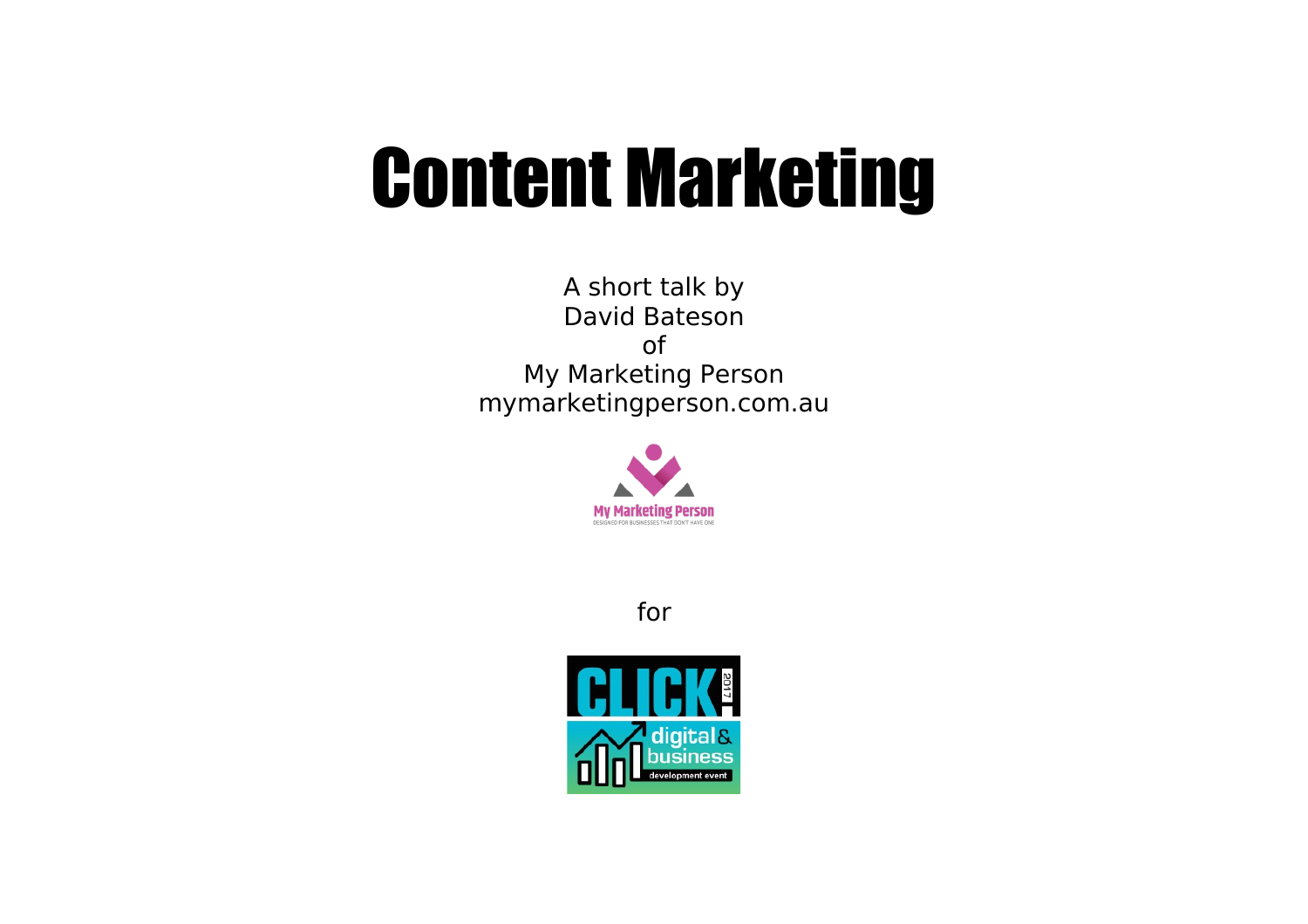## Content Marketing

A short talk by David Bateson of My Marketing Person mymarketingperson.com.au



for

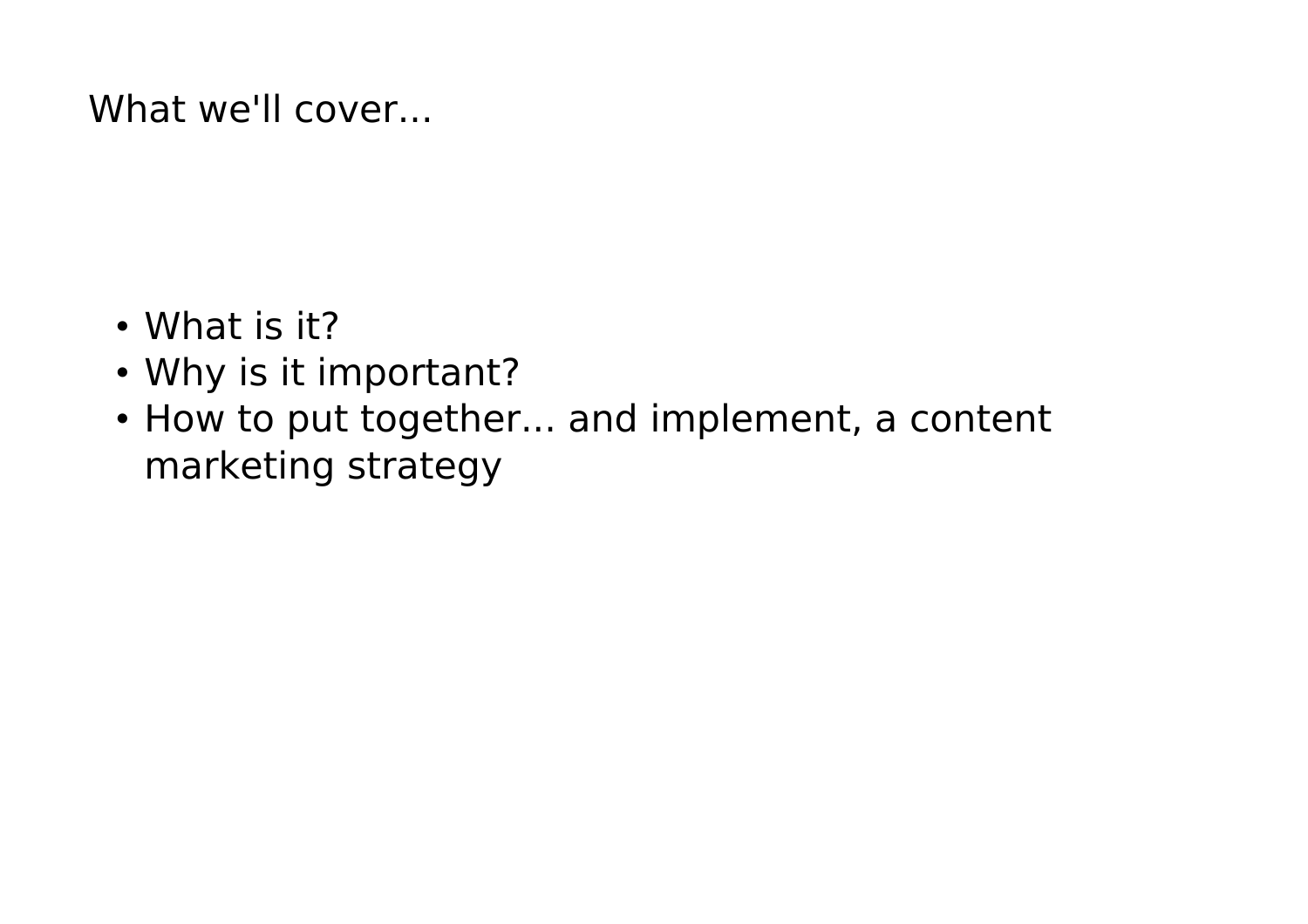### What we'll cover...

- What is it?
- Why is it important?
- How to put together... and implement, a content marketing strategy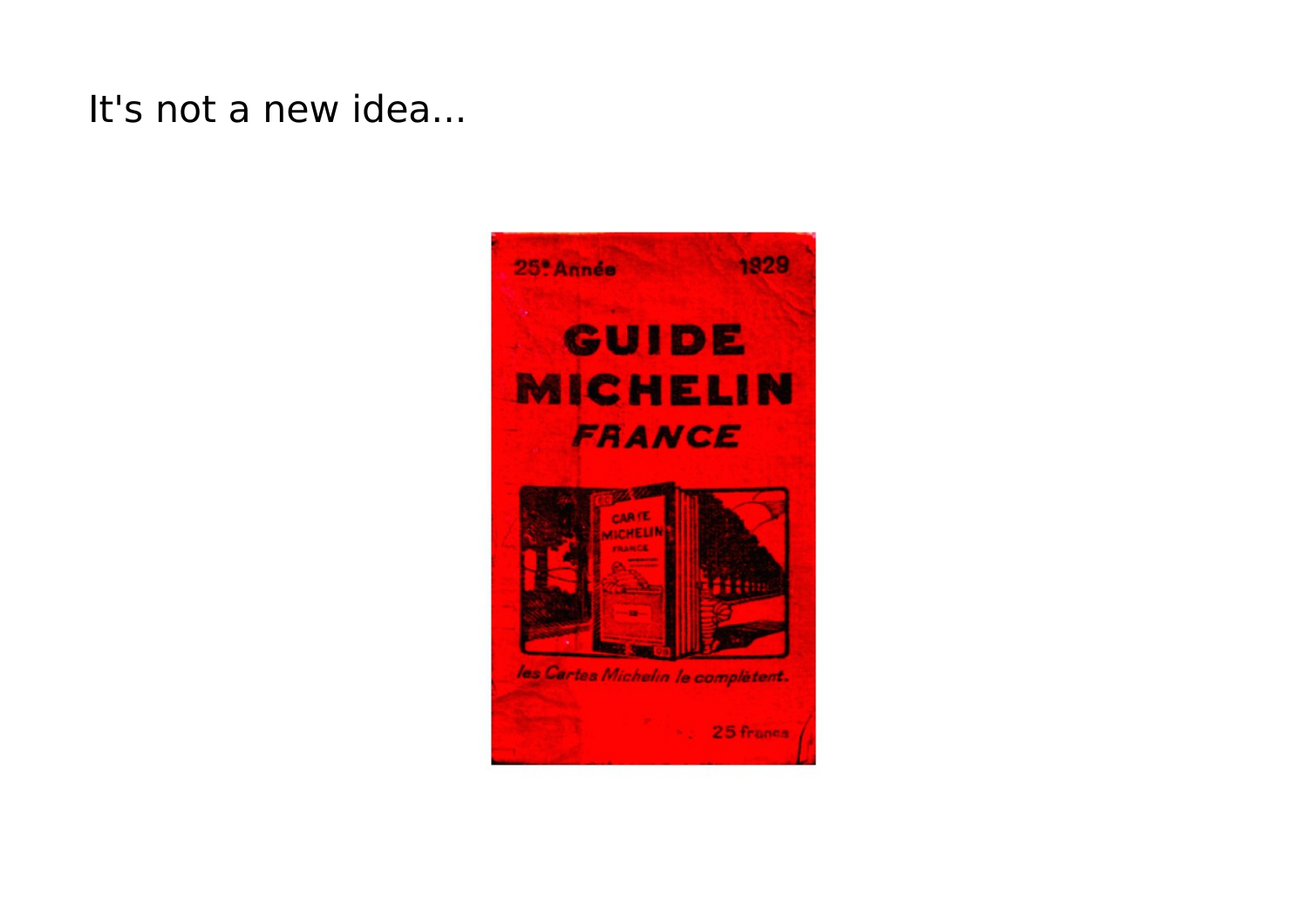It's not a new idea...

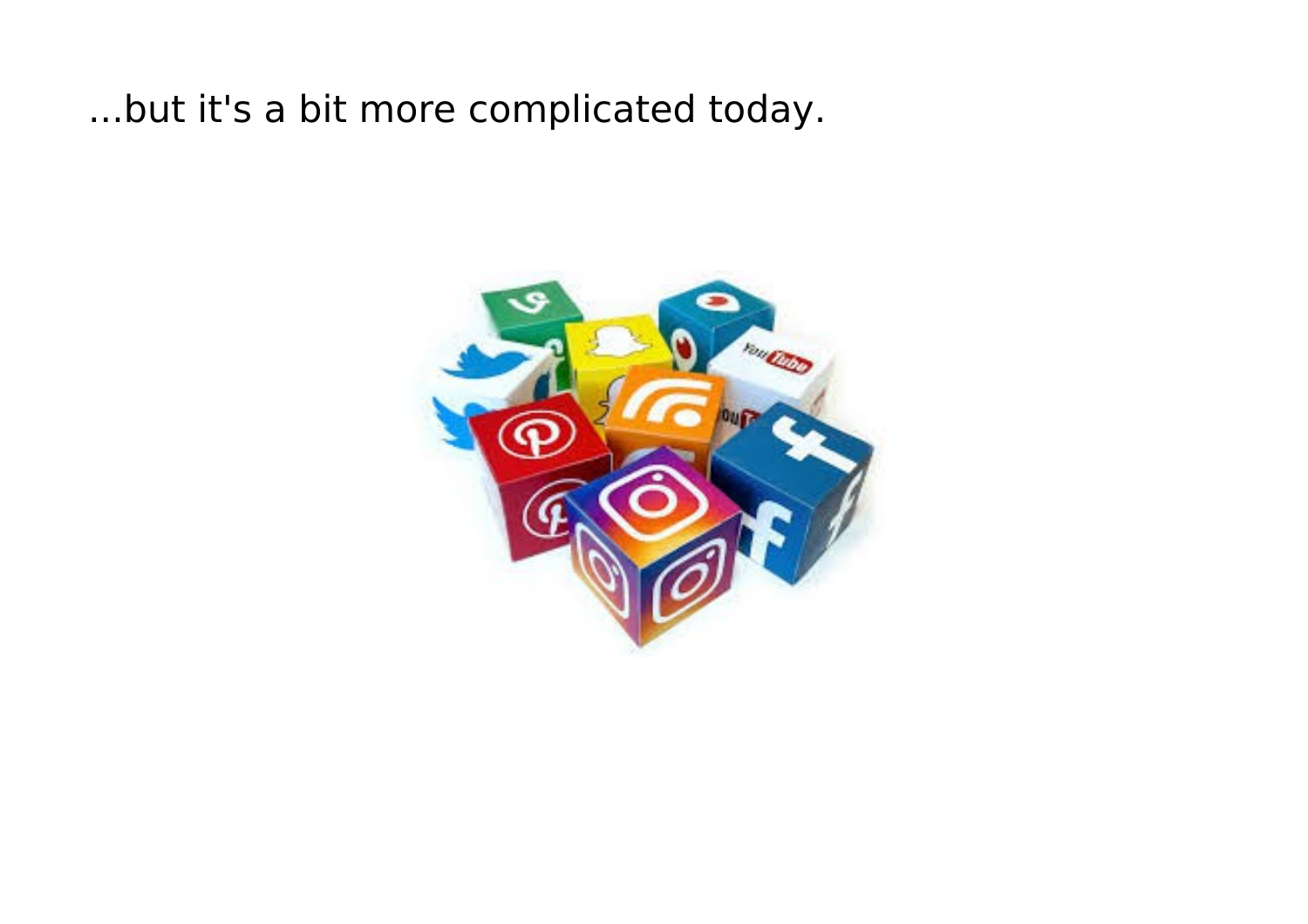...but it's a bit more complicated today.

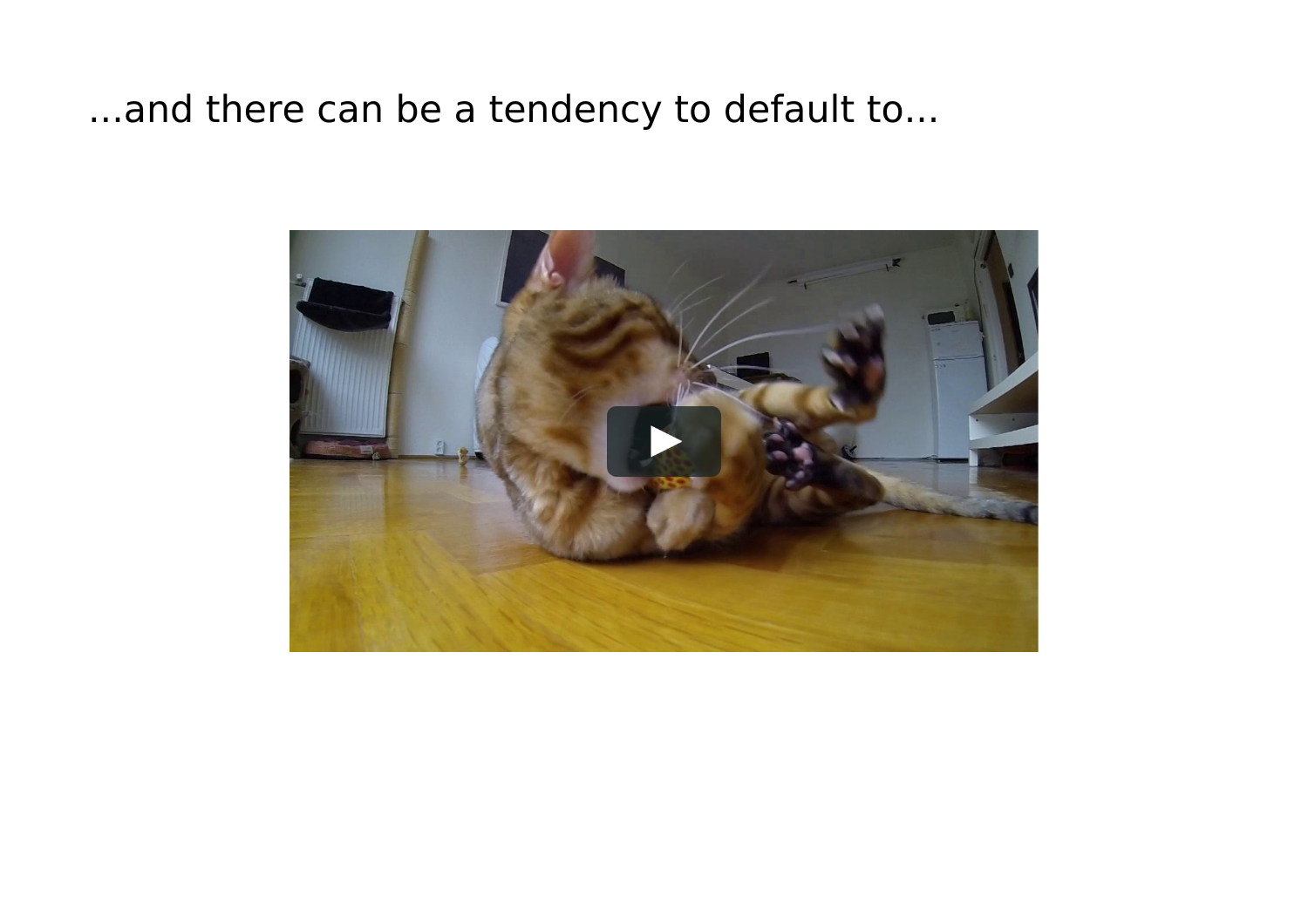...and there can be a tendency to default to...

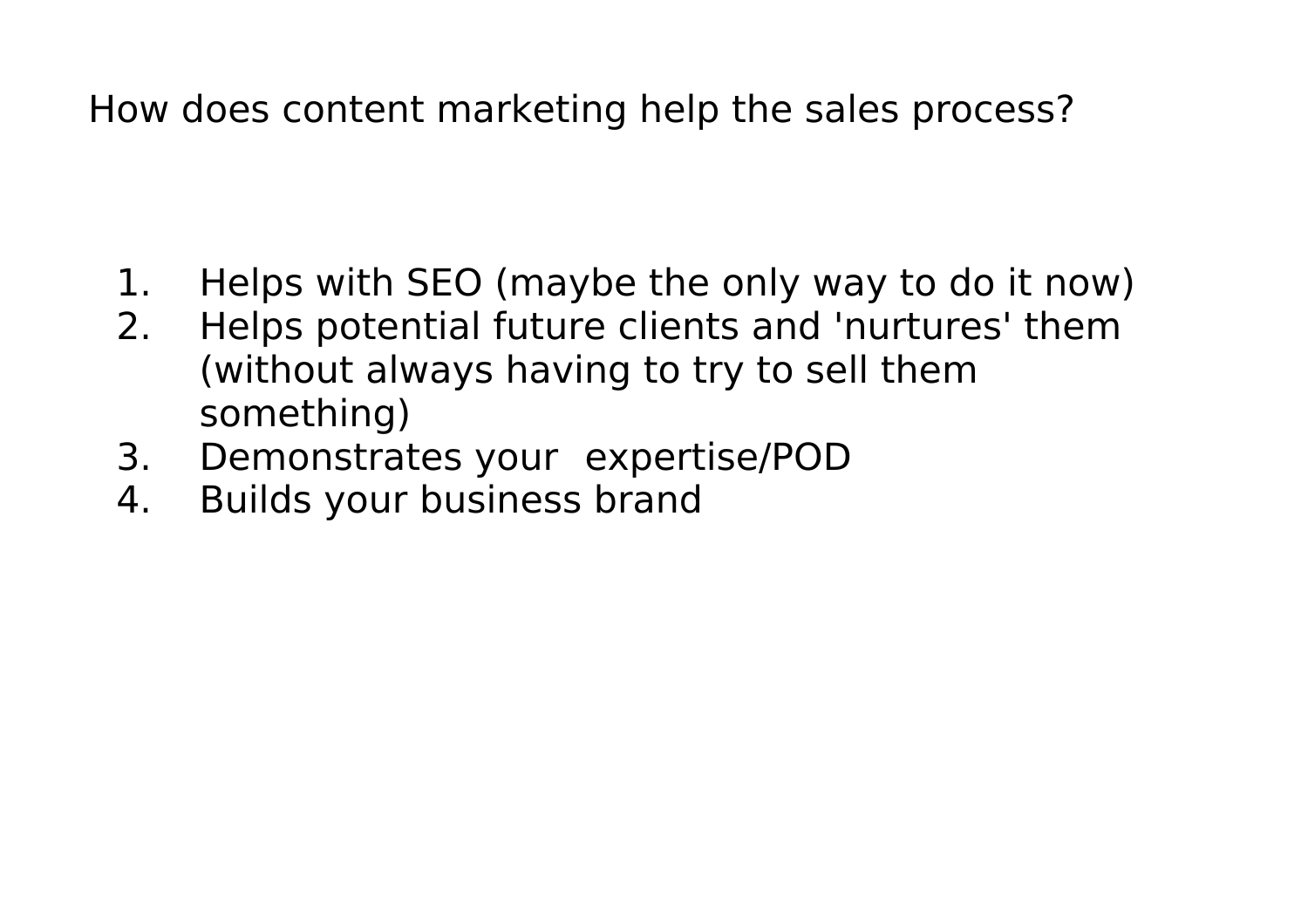How does content marketing help the sales process?

- 1. Helps with SEO (maybe the only way to do it now)
- 2. Helps potential future clients and 'nurtures' them (without always having to try to sell them something)
- 3. Demonstrates your expertise/POD
- 4. Builds your business brand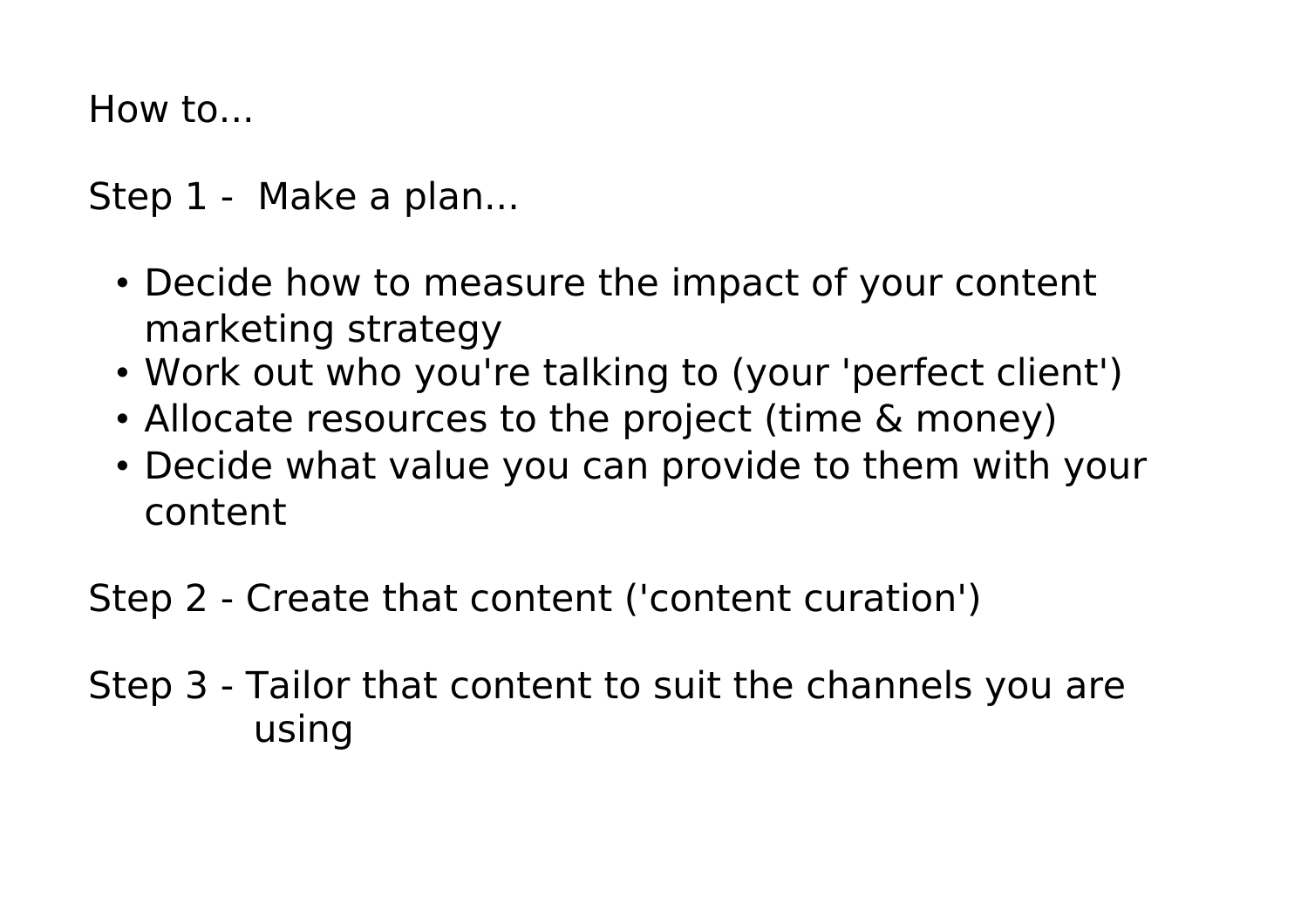How to...

Step 1 - Make a plan...

- Decide how to measure the impact of your content marketing strategy
- Work out who you're talking to (your 'perfect client')
- Allocate resources to the project (time & money)
- Decide what value you can provide to them with your content

Step 2 - Create that content ('content curation')

Step 3 - Tailor that content to suit the channels you are using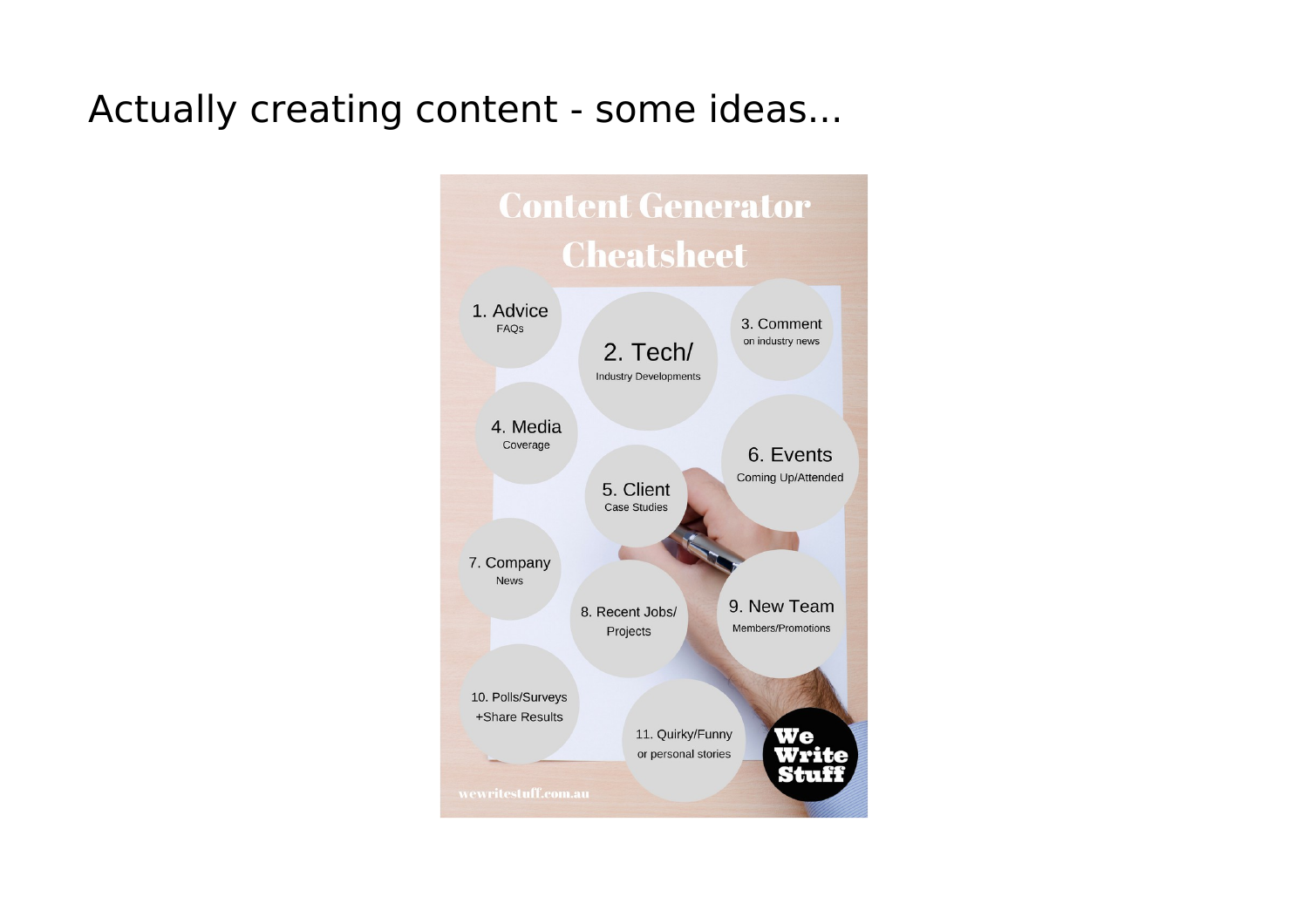#### Actually creating content - some ideas...

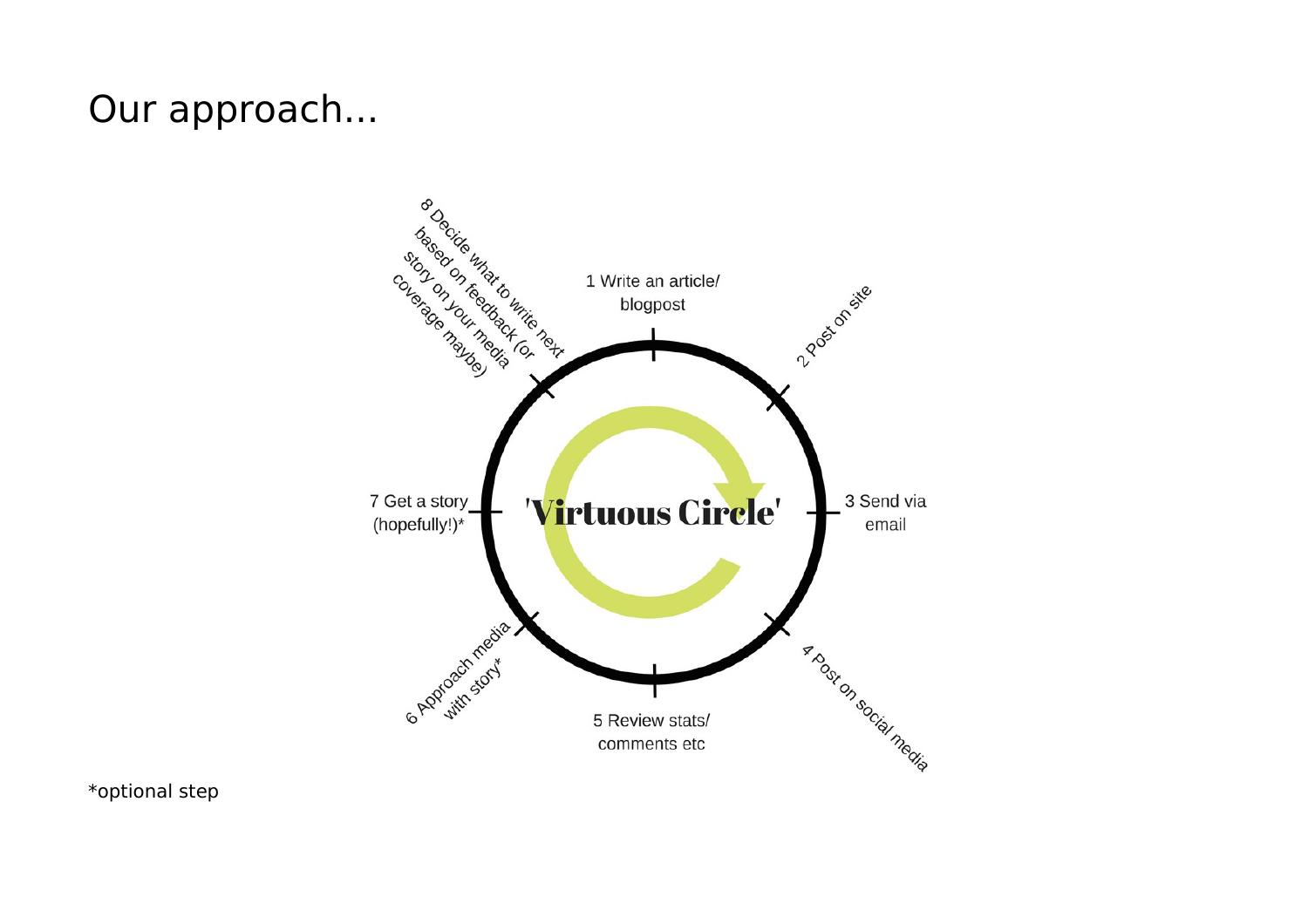#### Our approach...



\*optional step